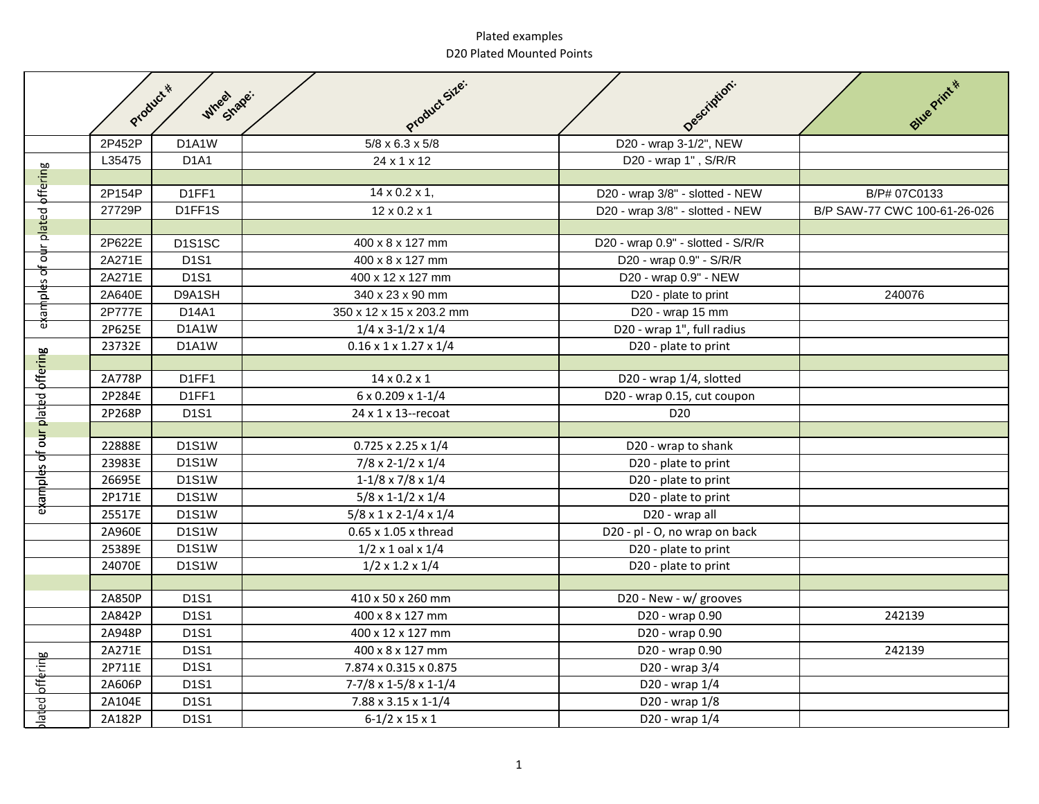## Plated examples D20 Plated Mounted Points

|                     | Product * | Wheel shape:                  | Product Size:                            | Description:                      | Blue Print #                 |
|---------------------|-----------|-------------------------------|------------------------------------------|-----------------------------------|------------------------------|
|                     |           |                               |                                          |                                   |                              |
|                     | 2P452P    | D1A1W                         | $5/8 \times 6.3 \times 5/8$              | D20 - wrap 3-1/2", NEW            |                              |
|                     | L35475    | D <sub>1</sub> A <sub>1</sub> | 24 x 1 x 12                              | D20 - wrap 1", S/R/R              |                              |
|                     |           |                               |                                          |                                   |                              |
|                     | 2P154P    | D1FF1                         | $14 \times 0.2 \times 1$ ,               | D20 - wrap 3/8" - slotted - NEW   | B/P# 07C0133                 |
| our plated offering | 27729P    | D1FF1S                        | $12 \times 0.2 \times 1$                 | D20 - wrap 3/8" - slotted - NEW   | B/P SAW-77 CWC 100-61-26-026 |
|                     |           |                               |                                          |                                   |                              |
|                     | 2P622E    | D1S1SC                        | 400 x 8 x 127 mm                         | D20 - wrap 0.9" - slotted - S/R/R |                              |
|                     | 2A271E    | D <sub>1</sub> S <sub>1</sub> | 400 x 8 x 127 mm                         | D20 - wrap 0.9" - S/R/R           |                              |
| examples of         | 2A271E    | D1S1                          | 400 x 12 x 127 mm                        | D20 - wrap 0.9" - NEW             |                              |
|                     | 2A640E    | D9A1SH                        | 340 x 23 x 90 mm                         | D20 - plate to print              | 240076                       |
|                     | 2P777E    | D14A1                         | 350 x 12 x 15 x 203.2 mm                 | D20 - wrap 15 mm                  |                              |
|                     | 2P625E    | D1A1W                         | $1/4 \times 3 - 1/2 \times 1/4$          | D20 - wrap 1", full radius        |                              |
|                     | 23732E    | D1A1W                         | $0.16 \times 1 \times 1.27 \times 1/4$   | D20 - plate to print              |                              |
|                     |           |                               |                                          |                                   |                              |
|                     | 2A778P    | D1FF1                         | $14 \times 0.2 \times 1$                 | D20 - wrap 1/4, slotted           |                              |
|                     | 2P284E    | D1FF1                         | 6 x 0.209 x 1-1/4                        | D20 - wrap 0.15, cut coupon       |                              |
| our plated offering | 2P268P    | <b>D1S1</b>                   | $24 \times 1 \times 13$ -recoat          | D <sub>20</sub>                   |                              |
|                     |           |                               |                                          |                                   |                              |
|                     | 22888E    | <b>D1S1W</b>                  | $0.725 \times 2.25 \times 1/4$           | D20 - wrap to shank               |                              |
|                     | 23983E    | <b>D1S1W</b>                  | $7/8 \times 2 - 1/2 \times 1/4$          | D20 - plate to print              |                              |
| examples of         | 26695E    | <b>D1S1W</b>                  | $1 - 1/8 \times 7/8 \times 1/4$          | D20 - plate to print              |                              |
|                     | 2P171E    | <b>D1S1W</b>                  | $5/8 \times 1 - 1/2 \times 1/4$          | D20 - plate to print              |                              |
|                     | 25517E    | D1S1W                         | $5/8 \times 1 \times 2 - 1/4 \times 1/4$ | D20 - wrap all                    |                              |
|                     | 2A960E    | <b>D1S1W</b>                  | 0.65 x 1.05 x thread                     | D20 - pl - O, no wrap on back     |                              |
|                     | 25389E    | <b>D1S1W</b>                  | $1/2 \times 1$ oal $\times 1/4$          | D20 - plate to print              |                              |
|                     | 24070E    | <b>D1S1W</b>                  | $1/2 \times 1.2 \times 1/4$              | D20 - plate to print              |                              |
|                     |           |                               |                                          |                                   |                              |
|                     | 2A850P    | D1S1                          | 410 x 50 x 260 mm                        | D20 - New - w/ grooves            |                              |
|                     | 2A842P    | D1S1                          | 400 x 8 x 127 mm                         | D20 - wrap 0.90                   | 242139                       |
|                     | 2A948P    | D1S1                          | 400 x 12 x 127 mm                        | D20 - wrap 0.90                   |                              |
|                     | 2A271E    | D1S1                          | 400 x 8 x 127 mm                         | D20 - wrap 0.90                   | 242139                       |
|                     | 2P711E    | D1S1                          | 7.874 x 0.315 x 0.875                    | D20 - wrap 3/4                    |                              |
|                     | 2A606P    | D1S1                          | 7-7/8 x 1-5/8 x 1-1/4                    | D20 - wrap 1/4                    |                              |
| lated offering      | 2A104E    | D1S1                          | 7.88 x 3.15 x 1-1/4                      | D20 - wrap 1/8                    |                              |
|                     | 2A182P    | <b>D1S1</b>                   | $6-1/2 \times 15 \times 1$               | D20 - wrap 1/4                    |                              |